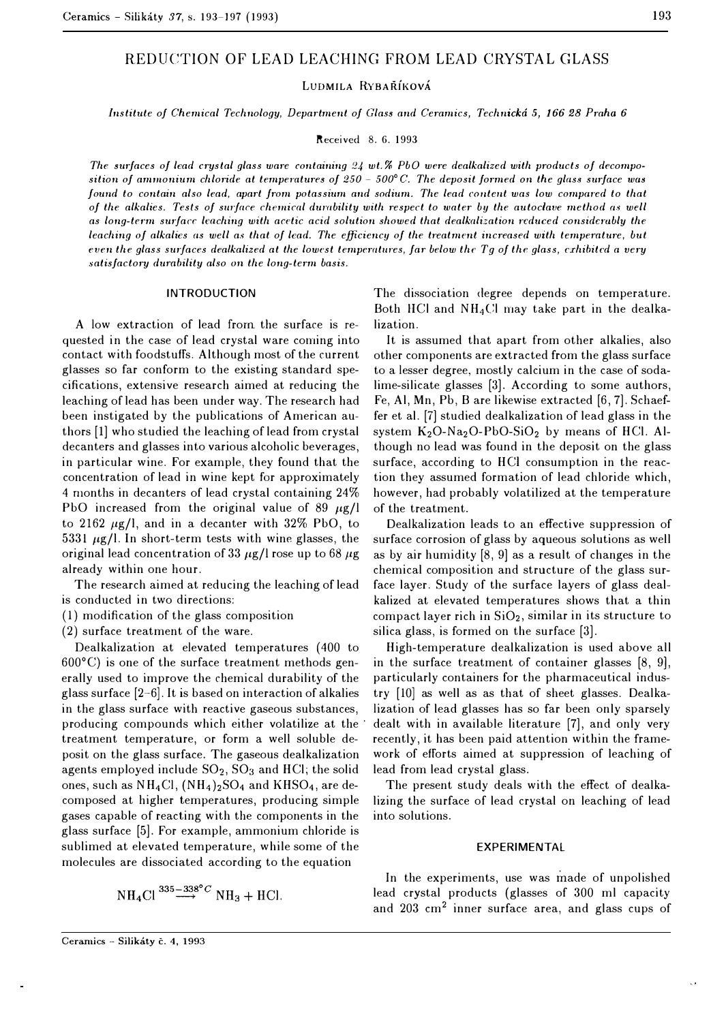# REDUCTION OF LEAD LEACHING FROM LEAD CRYSTAL GLASS

**LUDMILA RYBARIKOVA** 

*Institute of Chemical Technology, Department of Glass and Ceramics, Technicka 5, 166 28 Praha 6* 

Received 8. 6. 1993

*The surfaces of lead crystal glass ware containing 24 wt.% PbO were dealkalized with products of decomposition of ammonium chloride at temperatures of 250 – 500°C. The deposit formed on the glass surface was found to contain also lead, apart from potassium and sodium. The lead content was low compared to that of the alkalies. Tests of surface chemical durability with respect to water by the autoclave method as well as long-term surface lmching with acetic acid solution showed that dealkalization reduced considernbly the*  leaching of alkalies as well as that of lead. The efficiency of the treatment increased with temperature, but *even the glass surfaces dealkalized at the lowest temperatures, far below the Tg of the glass, crhibited a very* satisfactory durability also on the long-term basis.

## **INTRODUCTION**

A low extraction of lead from the surface is requested in the case of lead crystal ware coming into contact with foodstuffs. Although most of the current glasses so far conform to the existing standard specifications, extensive research aimed at reducing the leaching of lead has been under way. The research had been instigated by the publications of American authors [l] who studied the leaching of lead from crystal decanters and glasses into various alcoholic beverages, in particular wine. For example, they found that the concentration of lead in wine kept for approximately 4 months in decanters of lead crystal containing 24% PbO increased from the original value of 89  $\mu$ g/l to 2162  $\mu$ g/l, and in a decanter with 32% PbO, to 5331  $\mu$ g/l. In short-term tests with wine glasses, the original lead concentration of 33  $\mu$ g/l rose up to 68  $\mu$ g already within one hour.

The research aimed at reducing the leaching of lead is conducted in two directions:

( 1) modification of the glass composition

(2) surface treatment of the ware.

Dealkalization at elevated temperatures (400 to  $600^{\circ}$ C) is one of the surface treatment methods generally used to improve the chemical durability of the glass surface  $[2-6]$ . It is based on interaction of alkalies in the glass surface with reactive gaseous substances, producing compounds which either volatilize at the treatment temperature, or form a well soluble deposit on the glass surface. The gaseous dealkalization agents employed include  $SO<sub>2</sub>$ ,  $SO<sub>3</sub>$  and HCl; the solid ones, such as NH4Cl, (NH4)2S04 and KHS04, are decomposed at higher temperatures, producing simple gases capable of reacting with the components in the glass surface [5]. For example, ammonium chloride is sublimed at elevated temperature, while some of the molecules are dissociated according to the equation

$$
NH4Cl335-338°C NH3 + HCl.
$$

The dissociation degree depends on temperature. Both HCl and  $NH<sub>4</sub>Cl$  may take part in the dealkalization.

It is assumed that apart from other alkalies, also other components are extracted from the glass surface to a lesser degree, mostly calcium in the case of sodalime-silicate glasses [3]. According to some authors, Fe, Al, Mn, Pb, B are likewise extracted [6, 7]. Schaeffer et al. [7] studied dealkalization of lead glass in the system  $K_2O-Na_2O-PbO-SiO_2$  by means of HCl. Although no lead was found in the deposit on the glass surface, according to HCl consumption in the reaction they assumed formation of lead chloride which, however, had probably volatilized at the temperature of the treatment.

Dealkalization leads to an effective suppression of surface corrosion of glass by aqueous solutions as well as by air humidity [8, 9] as a result of changes in the chemical composition and structure of the glass surface layer. Study of the surface layers of glass dealkalized at elevated temperatures shows that a thin compact layer rich in  $SiO<sub>2</sub>$ , similar in its structure to silica glass, is formed on the surface [3].

High-temperature dealkalization is used above all in the surface treatment of container glasses [8, 9], particularly containers for the pharmaceutical industry [10] as well as as that of sheet glasses. Dealkalization of lead glasses has so far been only sparsely dealt with in available literature [7], and only very recently, it has been paid attention within the framework of efforts aimed at suppression of leaching of lead from lead crystal glass.

The present study deals with the effect of dealkalizing the surface of lead crystal on leaching of lead into solutions.

## EXPERIMENTAL

In the experiments, use was made of unpolished lead crystal products (glasses of 300 ml capacity and 203 cm2 inner surface area, and glass cups of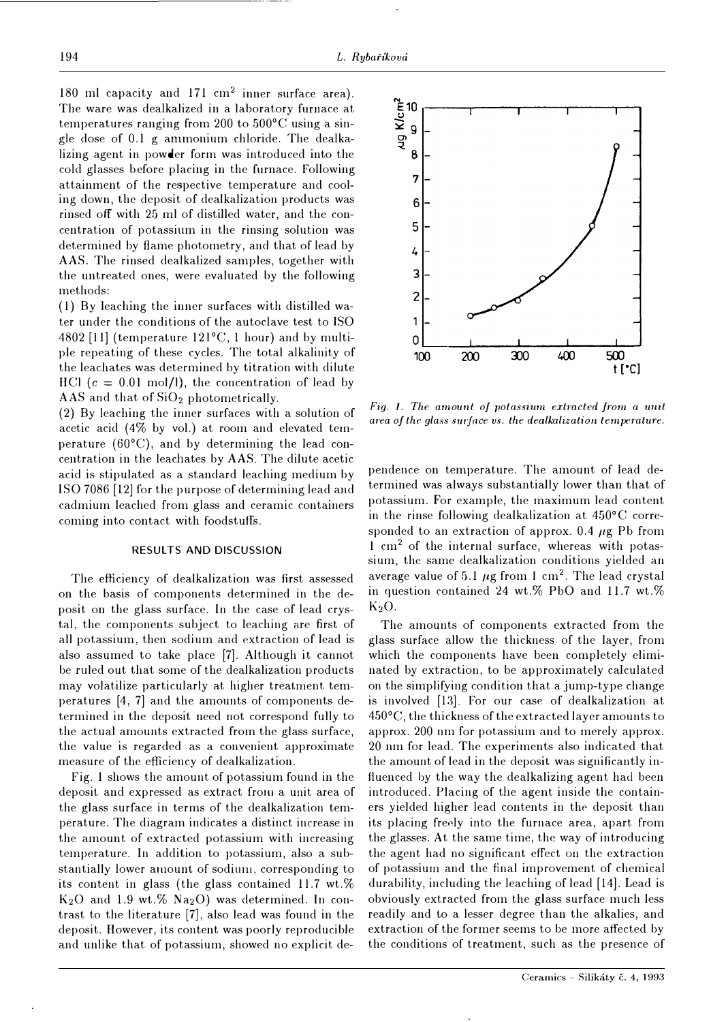180 ml capacity and 171  $\text{cm}^2$  inner surface area). The ware was dealkalized in a laboratory furnace at temperatures ranging from 200 to 500°C using a single dose of 0.1 g ammonium chloride. The dealkalizing agent in powder form was introduced into the cold glasses before placing in the furnace. Following attainment of the respective temperature and cooling down, the deposit of dealkalization products was rinsed off with 25 ml of distilled water, and the concentration of potassium in the rinsing solution was determined by flame photometry, and that of lead by AAS. The rinsed dealkalized samples, together with the untreated ones, were evaluated by the following methods:

(1) By leaching the inner surfaces with distilled water under the conditions of the autoclave test to ISO 4802 (11] (temperature 12l °C, 1 hour) and by multiple repeating of these cycles. The total alkalinity of the leachates was determined by titration with dilute HCl  $(c = 0.01 \text{ mol/l})$ , the concentration of lead by AAS and that of  $SiO<sub>2</sub>$  photometrically.

(2) By leaching the inner surfaces with a solution of acetic acid (4% by vol.) at room and elevated temperature  $(60^{\circ}C)$ , and by determining the lead concentration in the leachates by **AAS.** The dilute acetic acid is stipulated as a standard leaching medium by ISO 7086 (12] for the purpose of determining lead and cadmium leached from glass and ceramic containers coming into contact with foodstuffs.

# RESULTS AND DISCUSSION

The efficiency of dealkalization was first assessed on the basis of components determined in the deposit on the glass surface. In the case of lead crystal, the components subject to leaching are first of all potassium, then sodium and extraction of lead is also assumed to take place (7]. Although it cannot be ruled out that some of the dealkalization products may volatilize particularly at higher treatment temperatures (4, 7] and the amounts of components determined in the deposit need not correspond fully to the actual amounts extracted from the glass surface, the value is regarded as a convenient approximate measure of the efficiency of dealkalization.

Fig. 1 shows the amount of potassium found in the deposit and expressed as extract from a unit area of the glass surface in terms of the dealkalization temperature. The diagram indicates a distinct increase in the amount of extracted potassium with increasing temperature. In addition to potassium, also a substantially lower amount of sodium, corresponding to its content in glass (the glass contained 11.7 wt.%  $K<sub>2</sub>O$  and 1.9 wt.%  $Na<sub>2</sub>O$ ) was determined. In contrast to the literature (7], also lead was found in the deposit. However, its content was poorly reproducible and unlike that of potassium, showed no explicit de-



Fig. 1. The amount of potassium extracted from a unit *area of the glass surface vs. the dealkalization temperature.* 

pendence on temperature. The amount of lead determined was always substantially lower than that of potassium. For example, the maximum lead content in the rinse following dealkalization at 450° C corresponded to an extraction of approx.  $0.4 \mu$ g Pb from 1 cm2 of the internal surface, whereas with potassium, the same dealkalization conditions yielded an average value of 5.1  $\mu$ g from 1 cm<sup>2</sup>. The lead crystal in question contained 24 wt.% PbO and 11.7 wt.%  $K<sub>2</sub>O$ .

The amounts of components extracted from the glass surface allow the thickness of the layer, from which the components have been completely eliminated by extraction, to be approximately calculated on the simplifying condition that a jump-type change is involved (13]. For our case of dealkalization at 450°C, the thickness of the extracted layer amounts to approx. 200 nm for potassium and to merely approx. 20 nm for lead. The experiments also indicated that the amount of lead in the deposit was significantly influenced by the way the dealkalizing agent had been introduced. Placing of the agent inside the containers yielded higher lead contents in the deposit than its placing freely into the furnace area, apart from the glasses. At the same time, the way of introducing the agent had no significant effect **011** the extraction of potassiurn and the final improvement of chemical durability, including the leaching of lead (14]. Lead is obviously extracted from the glass surface much less readily and to a lesser degree than the alkalies, and extraction of the former seems to be more affected by the conditions of treatment, such as the presence of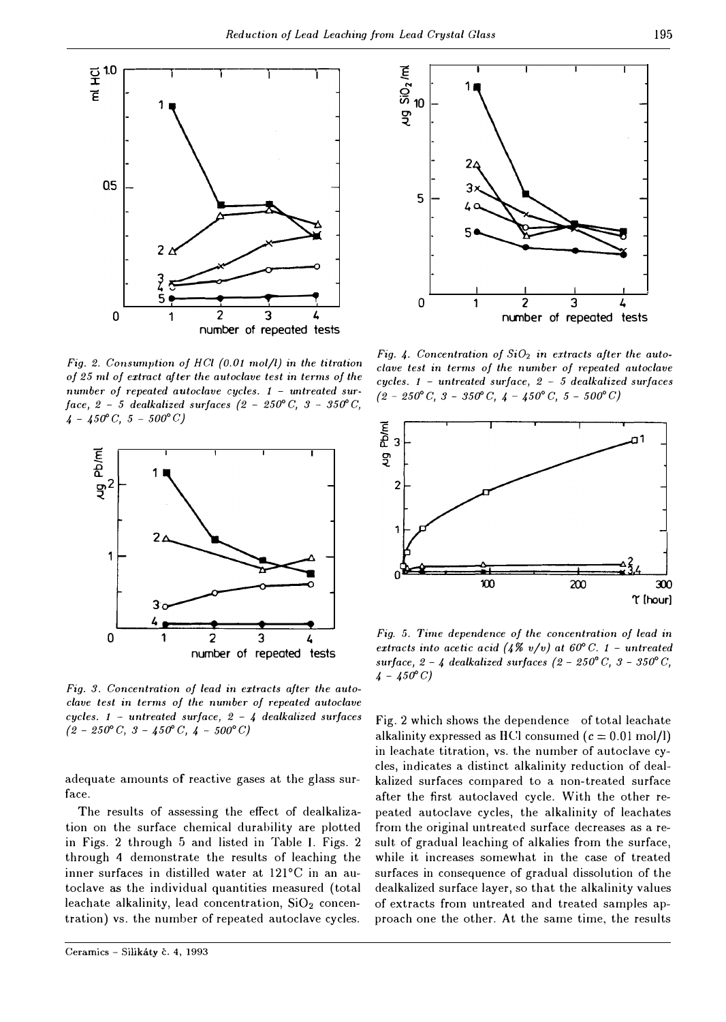

*Fig. 2. Consumption of HCl (0.01 mol/l) in the titration of 25 ml of extract after the autoclave test in terms of the number of repeated autoclave cycles. 1 - untreated surface, 2 - 5 dealkalized surfaces*  $(2 - 250^{\circ} C, 3 - 350^{\circ} C,$  $4 - 450^{\circ}C$ ,  $5 - 500^{\circ}C$ 



Fig. 3. Concentration of lead in extracts after the auto*clave test in terms of the number of repeated autoclave cycles. 1 - untreated surface, 2 - 4 dealkalized smjaces*   $(2 - 250^{\circ} C, 3 - 450^{\circ} C, 4 - 500^{\circ} C)$ 

adequate amounts of reactive gases at the glass surface.

The results of assessing the effect of dealkalization on the surface chemical durability are plotted in Figs. 2 through 5 and listed in Table I. Figs. 2 through 4 demonstrate the results of leaching the inner surfaces in distilled water at 121°C in an autoclave as the individual quantities measured (total leachate alkalinity, lead concentration,  $SiO<sub>2</sub>$  concentration) vs. the number of repeated autoclave cycles.



Fig. 4. Concentration of  $SiO<sub>2</sub>$  in extracts after the auto*clave test in terms of the number of repeated autoclave cycles. 1 - untreated surface, 2 - 5 dealkalized surfaces {2 - 250° C, 3 - 35D° C, 4 - 450° C, 5 - 500° C)* 



*Fig. 5. Time dependence of the concentration of lead in extracts into acetic acid (4%*  $v/v$ *) at 60° C. 1 - untreated surface, 2 - 4 dealkalized surfaces*  $(2 - 250^{\circ} C, 3 - 350^{\circ} C,$  $4 - 450^{\circ} C$ 

Fig. 2 which shows the dependence of total leachate alkalinity expressed as HCl consumed  $(c = 0.01 \text{ mol/l})$ in leachate titration, vs. the number of autoclave cycles, indicates a distinct alkalinity reduction of dealkalized surfaces compared to a non-treated surface after the first autoclaved cycle. With the other repeated autoclave cycles, the alkalinity of leachates from the original untreated surface decreases as a result of gradual leaching of alkalies from the surface, while it increases somewhat in the case of treated surfaces in consequence of gradual dissolution of the dealkalized surface layer, so that the alkalinity values of extracts frorn untreated and treated samples approach one the other. At the same time, the results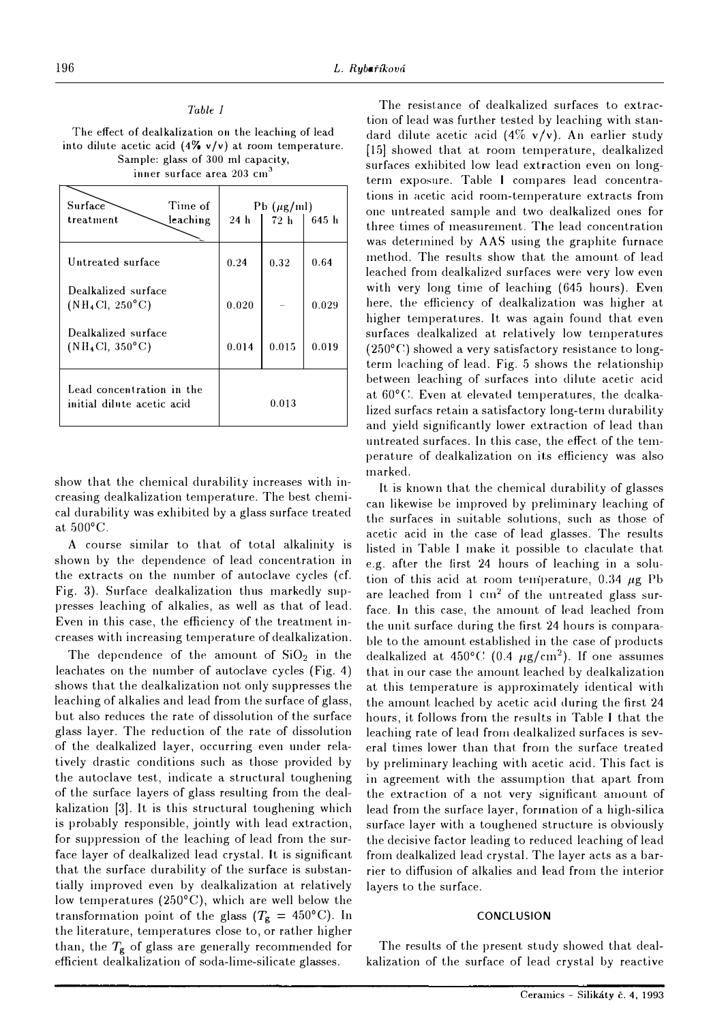| The effect of dealkalization on the leaching of lead             |
|------------------------------------------------------------------|
| into dilute acetic acid $(4\% \text{ v/v})$ at room temperature. |
| Sample: glass of 300 ml capacity,                                |
| inner surface area 203 cm <sup>3</sup>                           |

*Table I* 

| inner surface area 203 cm <sup>3</sup>                          |                                                   |       |       |  |
|-----------------------------------------------------------------|---------------------------------------------------|-------|-------|--|
| Surface<br>Time of<br>leaching<br>treatment                     | $Pb(\mu g/ml)$<br>72h<br>645 h<br>24 <sub>h</sub> |       |       |  |
| Untreated surface                                               | 0.24                                              | 0.32  | 0.64  |  |
| Dealkalized surface<br>(NH <sub>4</sub> Cl, 250 <sup>o</sup> C) | 0.020                                             |       | 0.029 |  |
| Dealkalized surface<br>$(NH_4Cl, 350^{\circ}C)$                 | 0.014                                             | 0.015 | 0.019 |  |
| Lead concentration in the<br>initial dilute acetic acid         | 0.013                                             |       |       |  |

show that the chemical durability increases with increasing dealkalization temperature. The best chemical durability was exhibited by a glass surface treated at 500°C.

A course similar to that of total alkalinity is shown by the dependence of lead concentration in the extracts on the number of autoclave cycles (cf. Fig. 3). Surface dealkalization thus markedly suppresses leaching of alkalies, as well as that of lead. Even in this case, the efficiency of the treatment increases with increasing temperature of dealkalization.

The dependence of the amount of  $SiO<sub>2</sub>$  in the leachates on the number of autoclave cycles (Fig. 4) shows that the dealkalization not only suppresses the leaching of alkalies and lead from the surface of glass, but also reduces the rate of dissolution of the surface glass layer. The reduction of the rate of dissolution of the dealkalized layer, occurring even under relatively drastic conditions such as those provided by the autoclave test, indicate a structural toughening of the surface layers of glass resulting from the dealkalization [3]. It is this structural toughening which is probably responsible, jointly with lead extraction, for suppression of the leaching of lead from the surface layer of dealkalized lead crystal. It is significant that the surface durability of the surface is substantially improved even by dealkalization at relatively low temperatures (250°C), which are well below the transformation point of the glass ( $T_g = 450^{\circ}$ C). In the literature, temperatures close to, or rather higher than, the  $T_{\rm g}$  of glass are generally recommended for efficient dealkalization of soda-lime-silicate glasses.

The resistance of dealkalized surfaces to extraction of lead was further tested by leaching with standard dilute acetic acid  $(4\% \text{ v/v})$ . An earlier study (15] showed that at room temperature, dealkalized surfaces exhibited low lead extraction even on longterm exposure. Table I compares lead concentrations in acetic acid room-temperature extracts from one untreated sample and two dealkalized ones for three times of measurement. The lead concentration was determined by AAS using the graphite furnace method. The results show that the amount of lead leached from dealkalized surfaces were very low even with very long time of leaching (645 hours). Even here, the efficiency of dealkalization was higher at higher temperatures. It was again found that even surfaces dealkalized at relatively low temperatures  $(250^{\circ}C)$  showed a very satisfactory resistance to longterm leaching of lead. Fig. 5 shows the relationship between leaching of surfaces into dilute acetic acid at  $60^{\circ}$ C. Even at elevated temperatures, the dealkalized surfacs retain a satisfactory long-term durability and yield significantly lower extraction of lead than untreated surfaces. In this case, the effect. of the temperature of dealkalization on its efficiency was also marked.

It is known that the chemical durability of glasses can likewise be improved by preliminary leaching of the surfaces in suitable solutions, such as those of acetic acid in the case of lead glasses. The results listed in Table I make it possible to claculate that. e.g. after the first 24 hours of leaching in a solution of this acid at room temperature, 0.34  $\mu$ g Pb are leached from  $1 \text{ cm}^2$  of the untreated glass surface. In this case, the amount of lead leached from the unit surface during the first 24 hours is comparable to the amount established in the case of products dealkalized at 450°C (0.4  $\mu$ g/cm<sup>2</sup>). If one assumes that in our case the amount leached by dealkalization at this temperature is approximately identical with the amount leached by acetic acid during the first 24 hours, it follows from the results in Table I that the leaching rate of lead from dealkalized surfaces is several times lower than that from the surface treated by preliminary leaching with acetic acid. This fact is in agreement with the assumption that apart from the extraction of a not very significant amount of lead from the surface layer, formation of a high-silica surface layer with a toughened structure is obviously the decisive factor leading to reduced leaching of lead from dealkalized lead crystal. The layer acts as a barrier to diffusion of alkalies and lead from the interior layers to the surface.

# **CONCLUSION**

The results of the present study showed that dealkalization of the surface of lead crystal by reactive